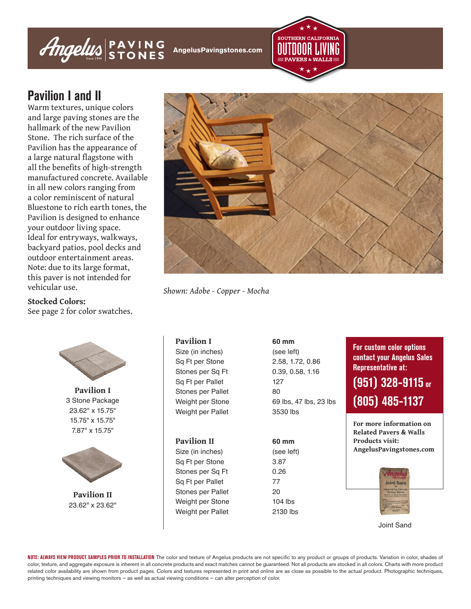# **Angelus** FAVING Angelus Pavingstones.com

## **Pavilion I and II**

Warm textures, unique colors and large paving stones are the hallmark of the new Pavilion Stone. The rich surface of the Pavilion has the appearance of a large natural flagstone with all the benefits of high-strength manufactured concrete. Available in all new colors ranging from a color reminiscent of natural Bluestone to rich earth tones, the Pavilion is designed to enhance your outdoor living space. Ideal for entryways, walkways, backyard patios, pool decks and outdoor entertainment areas. Note: due to its large format, this paver is not intended for vehicular use.

#### **Stocked Colors:**

See page 2 for color swatches.



**Pavilion II** 23.62" x 23.62"



**SOUTHERN CALIFORNIA** 

*Shown: Adobe - Copper - Mocha*

**Pavilion I 60 mm** Size (in inches) (see left) Sq Ft per Stone 2.58, 1.72, 0.86 Stones per Sq Ft 0.39, 0.58, 1.16 Sq Ft per Pallet 127 Stones per Pallet 80 Weight per Pallet 3530 lbs

#### **Pavilion II 60 mm** Size (in inches) (see left) Sq Ft per Stone 3.87 Stones per Sq Ft 0.26 Sq Ft per Pallet 77 Stones per Pallet 20 Weight per Stone 104 lbs

Weight per Stone 69 lbs, 47 lbs, 23 lbs

Weight per Pallet 2130 lbs

#### **For custom color options contact your Angelus Sales Representative at:**

**(951) 328-9115 or (805) 485-1137**



Joint Sand

**NOTE: ALWAYS VIEW PRODUCT SAMPLES PRIOR TO INSTALLATION** The color and texture of Angelus products are not specific to any product or groups of products. Variation in color, shades of color, texture, and aggregate exposure is inherent in all concrete products and exact matches cannot be guaranteed. Not all products are stocked in all colors. Charts with more product related color availability are shown from product pages. Colors and textures represented in print and online are as close as possible to the actual product. Photographic techniques, printing techniques and viewing monitors — as well as actual viewing conditions — can alter perception of color.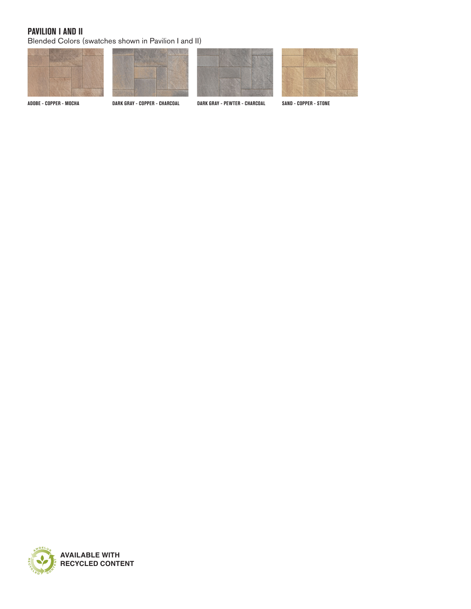#### **PAVILION I AND II**

Blended Colors (swatches shown in Pavilion I and II)











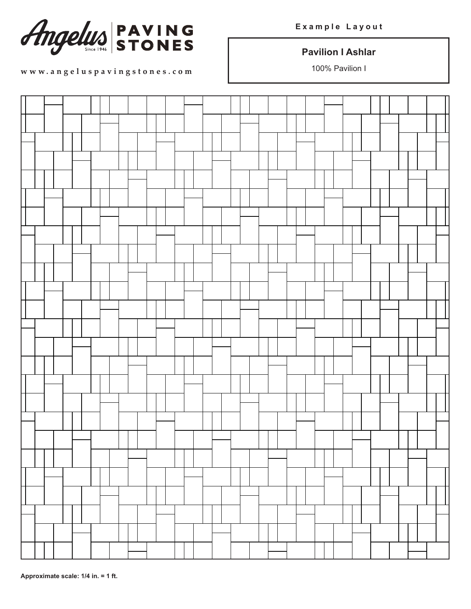

#### **Pavilion I Ashlar**

100% Pavilion I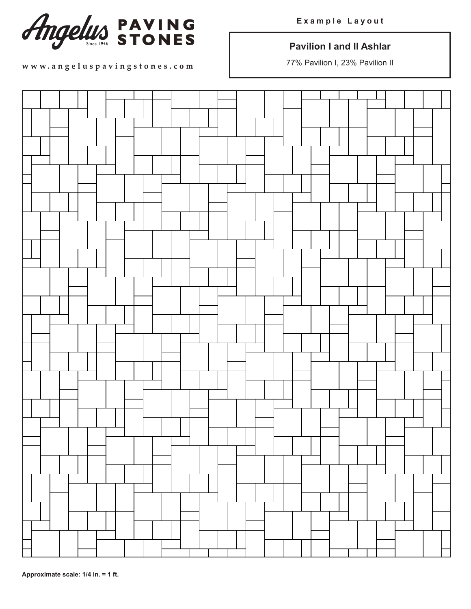

#### **Pavilion I and II Ashlar**

77% Pavilion I, 23% Pavilion II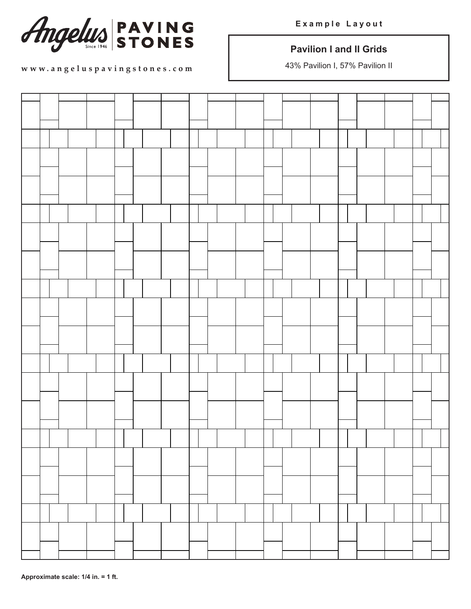

#### **Pavilion I and II Grids**

43% Pavilion I, 57% Pavilion II

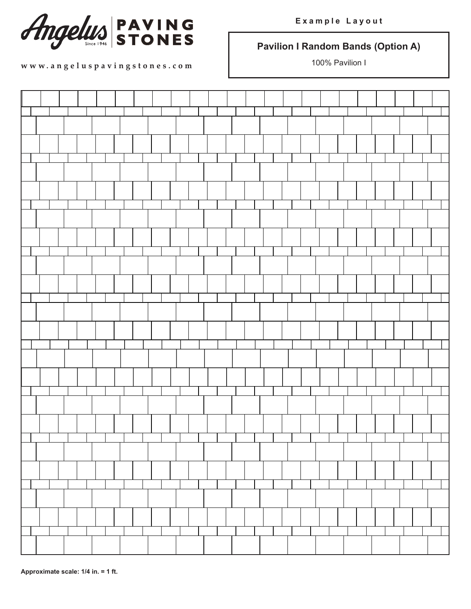

### **Pavilion I Random Bands (Option A)**

100% Pavilion I

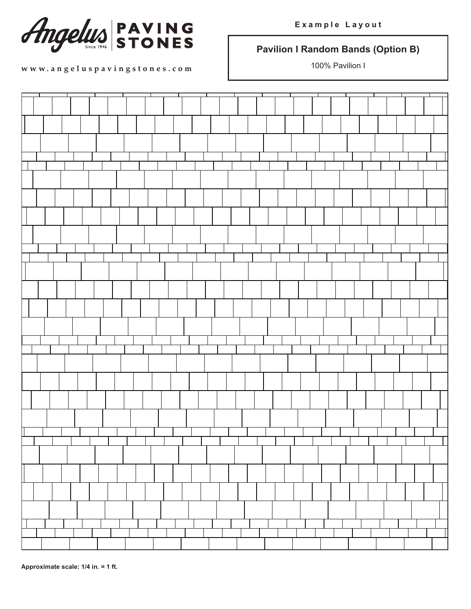

**Pavilion I Random Bands (Option B)**

100% Pavilion I

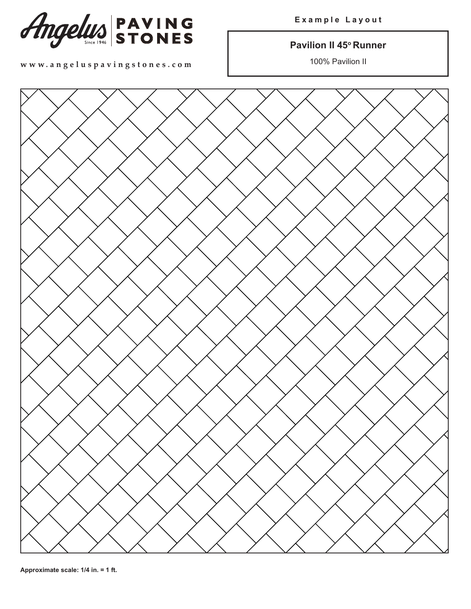

**E x a m p l e L a y o u t**

#### **Pavilion II 45° Runner**

100% Pavilion II

www.angeluspavingstones.com



**Approximate scale: 1/4 in. = 1 ft.**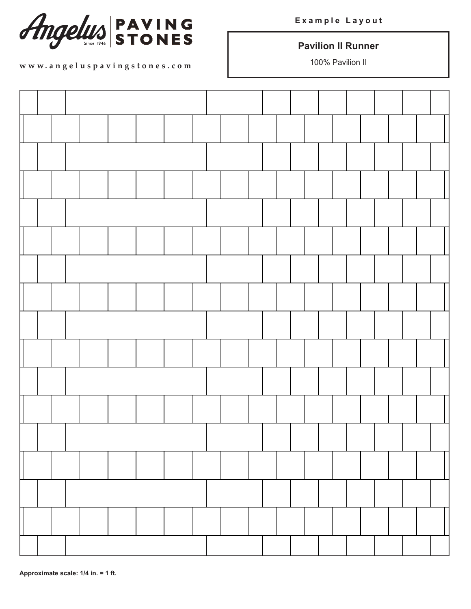

#### **Pavilion II Runner**

100% Pavilion II

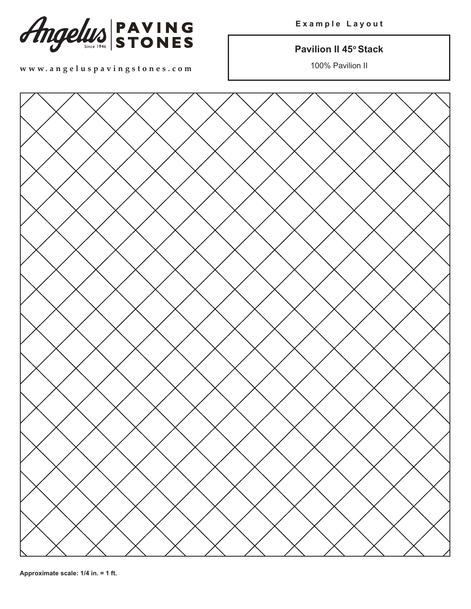

**E x a m p l e L a y o u t**

#### **Pavilion II 45° Stack**

100% Pavilion II

www.angeluspavingstones.com